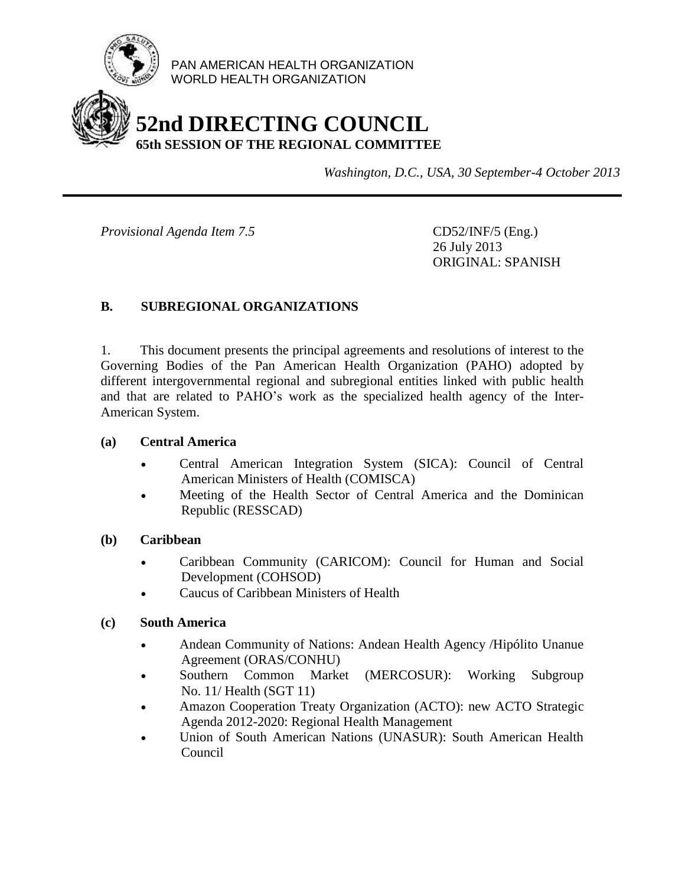

PAN AMERICAN HEALTH ORGANIZATION WORLD HEALTH ORGANIZATION

# **52nd DIRECTING COUNCIL 65th SESSION OF THE REGIONAL COMMITTEE**

*Washington, D.C., USA, 30 September-4 October 2013*

*Provisional Agenda Item 7.5* CD52/INF/5 (Eng.)

26 July 2013 ORIGINAL: SPANISH

# **B. SUBREGIONAL ORGANIZATIONS**

1. This document presents the principal agreements and resolutions of interest to the Governing Bodies of the Pan American Health Organization (PAHO) adopted by different intergovernmental regional and subregional entities linked with public health and that are related to PAHO's work as the specialized health agency of the Inter-American System.

### **(a) Central America**

- Central American Integration System (SICA): Council of Central American Ministers of Health (COMISCA)
- Meeting of the Health Sector of Central America and the Dominican Republic (RESSCAD)

### **(b) Caribbean**

- Caribbean Community (CARICOM): Council for Human and Social Development (COHSOD)
- Caucus of Caribbean Ministers of Health

### **(c) South America**

- Andean Community of Nations: Andean Health Agency /Hipólito Unanue Agreement (ORAS/CONHU)
- Southern Common Market (MERCOSUR): Working Subgroup No. 11/ Health (SGT 11)
- Amazon Cooperation Treaty Organization (ACTO): new ACTO Strategic Agenda 2012-2020: Regional Health Management
- Union of South American Nations (UNASUR): South American Health Council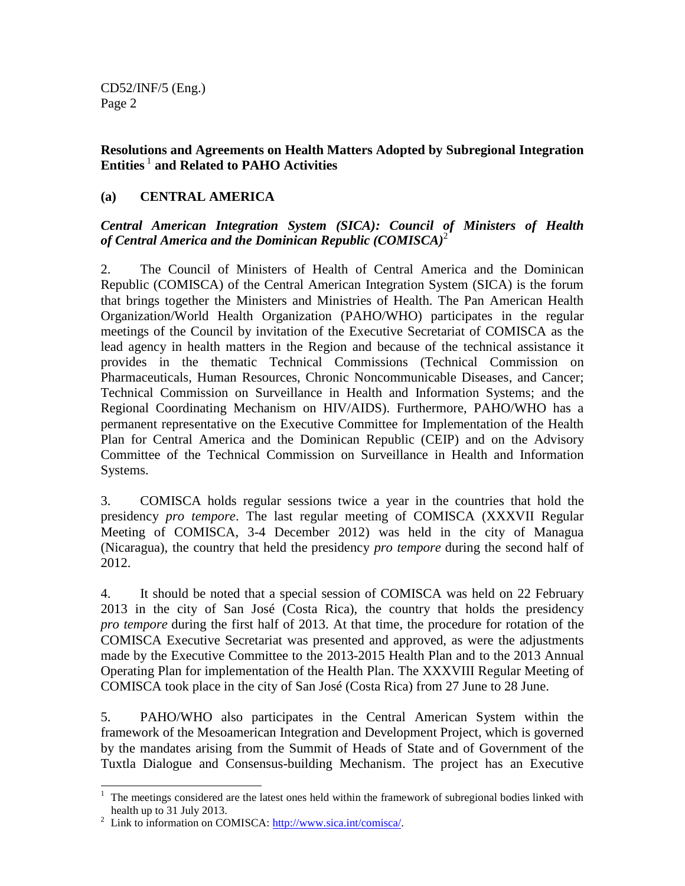**Resolutions and Agreements on Health Matters Adopted by Subregional Integration Entities** <sup>1</sup> **and Related to PAHO Activities**

### **(a) CENTRAL AMERICA**

*Central American Integration System (SICA): Council of Ministers of Health of Central America and the Dominican Republic (COMISCA)*<sup>2</sup>

2. The Council of Ministers of Health of Central America and the Dominican Republic (COMISCA) of the Central American Integration System (SICA) is the forum that brings together the Ministers and Ministries of Health. The Pan American Health Organization/World Health Organization (PAHO/WHO) participates in the regular meetings of the Council by invitation of the Executive Secretariat of COMISCA as the lead agency in health matters in the Region and because of the technical assistance it provides in the thematic Technical Commissions (Technical Commission on Pharmaceuticals, Human Resources, Chronic Noncommunicable Diseases, and Cancer; Technical Commission on Surveillance in Health and Information Systems; and the Regional Coordinating Mechanism on HIV/AIDS). Furthermore, PAHO/WHO has a permanent representative on the Executive Committee for Implementation of the Health Plan for Central America and the Dominican Republic (CEIP) and on the Advisory Committee of the Technical Commission on Surveillance in Health and Information Systems.

3. COMISCA holds regular sessions twice a year in the countries that hold the presidency *pro tempore*. The last regular meeting of COMISCA (XXXVII Regular Meeting of COMISCA, 3-4 December 2012) was held in the city of Managua (Nicaragua), the country that held the presidency *pro tempore* during the second half of 2012.

4. It should be noted that a special session of COMISCA was held on 22 February 2013 in the city of San José (Costa Rica), the country that holds the presidency *pro tempore* during the first half of 2013. At that time, the procedure for rotation of the COMISCA Executive Secretariat was presented and approved, as were the adjustments made by the Executive Committee to the 2013-2015 Health Plan and to the 2013 Annual Operating Plan for implementation of the Health Plan. The XXXVIII Regular Meeting of COMISCA took place in the city of San José (Costa Rica) from 27 June to 28 June.

5. PAHO/WHO also participates in the Central American System within the framework of the Mesoamerican Integration and Development Project, which is governed by the mandates arising from the Summit of Heads of State and of Government of the Tuxtla Dialogue and Consensus-building Mechanism. The project has an Executive

 $\overline{\phantom{a}}$ 

 $1$  The meetings considered are the latest ones held within the framework of subregional bodies linked with health up to 31 July 2013.

<sup>&</sup>lt;sup>2</sup> Link to information on COMISCA[: http://www.sica.int/comisca/.](http://www.sica.int/comisca/)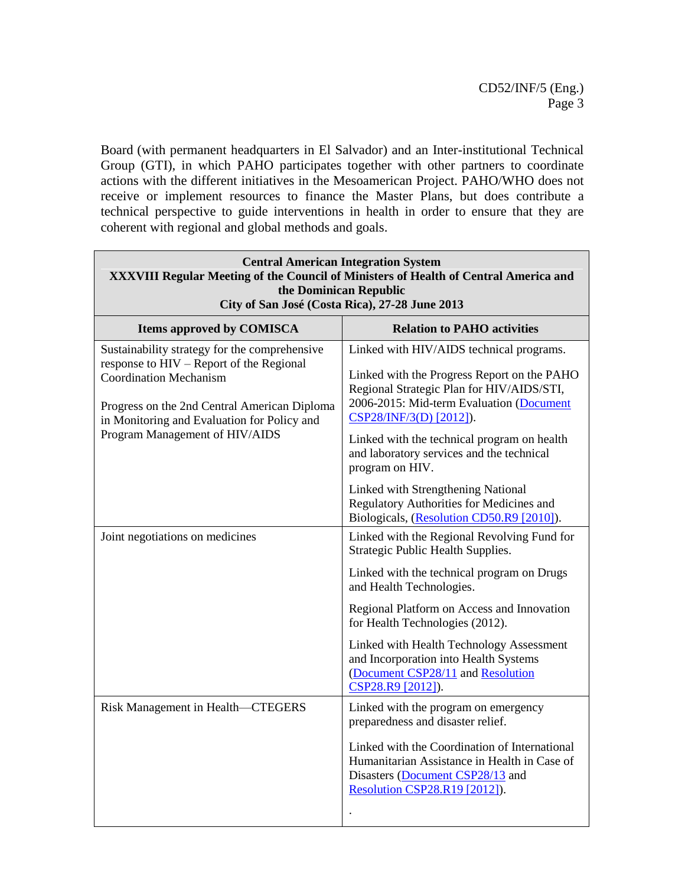Board (with permanent headquarters in El Salvador) and an Inter-institutional Technical Group (GTI), in which PAHO participates together with other partners to coordinate actions with the different initiatives in the Mesoamerican Project. PAHO/WHO does not receive or implement resources to finance the Master Plans, but does contribute a technical perspective to guide interventions in health in order to ensure that they are coherent with regional and global methods and goals.

| <b>Central American Integration System</b><br>XXXVIII Regular Meeting of the Council of Ministers of Health of Central America and<br>the Dominican Republic<br>City of San José (Costa Rica), 27-28 June 2013                                              |                                                                                                                                                                                                                                                                                                                            |  |
|-------------------------------------------------------------------------------------------------------------------------------------------------------------------------------------------------------------------------------------------------------------|----------------------------------------------------------------------------------------------------------------------------------------------------------------------------------------------------------------------------------------------------------------------------------------------------------------------------|--|
| <b>Items approved by COMISCA</b>                                                                                                                                                                                                                            | <b>Relation to PAHO activities</b>                                                                                                                                                                                                                                                                                         |  |
| Sustainability strategy for the comprehensive<br>response to HIV – Report of the Regional<br><b>Coordination Mechanism</b><br>Progress on the 2nd Central American Diploma<br>in Monitoring and Evaluation for Policy and<br>Program Management of HIV/AIDS | Linked with HIV/AIDS technical programs.<br>Linked with the Progress Report on the PAHO<br>Regional Strategic Plan for HIV/AIDS/STI,<br>2006-2015: Mid-term Evaluation (Document<br>CSP28/INF/3(D) [2012]).<br>Linked with the technical program on health<br>and laboratory services and the technical<br>program on HIV. |  |
|                                                                                                                                                                                                                                                             | Linked with Strengthening National<br>Regulatory Authorities for Medicines and<br>Biologicals, (Resolution CD50.R9 [2010]).                                                                                                                                                                                                |  |
| Joint negotiations on medicines                                                                                                                                                                                                                             | Linked with the Regional Revolving Fund for<br>Strategic Public Health Supplies.<br>Linked with the technical program on Drugs                                                                                                                                                                                             |  |
|                                                                                                                                                                                                                                                             | and Health Technologies.<br>Regional Platform on Access and Innovation<br>for Health Technologies (2012).                                                                                                                                                                                                                  |  |
|                                                                                                                                                                                                                                                             | Linked with Health Technology Assessment<br>and Incorporation into Health Systems<br>(Document CSP28/11 and Resolution<br>CSP28.R9 [2012]).                                                                                                                                                                                |  |
| Risk Management in Health-CTEGERS                                                                                                                                                                                                                           | Linked with the program on emergency<br>preparedness and disaster relief.                                                                                                                                                                                                                                                  |  |
|                                                                                                                                                                                                                                                             | Linked with the Coordination of International<br>Humanitarian Assistance in Health in Case of<br>Disasters (Document CSP28/13 and<br>Resolution CSP28.R19 [2012]).                                                                                                                                                         |  |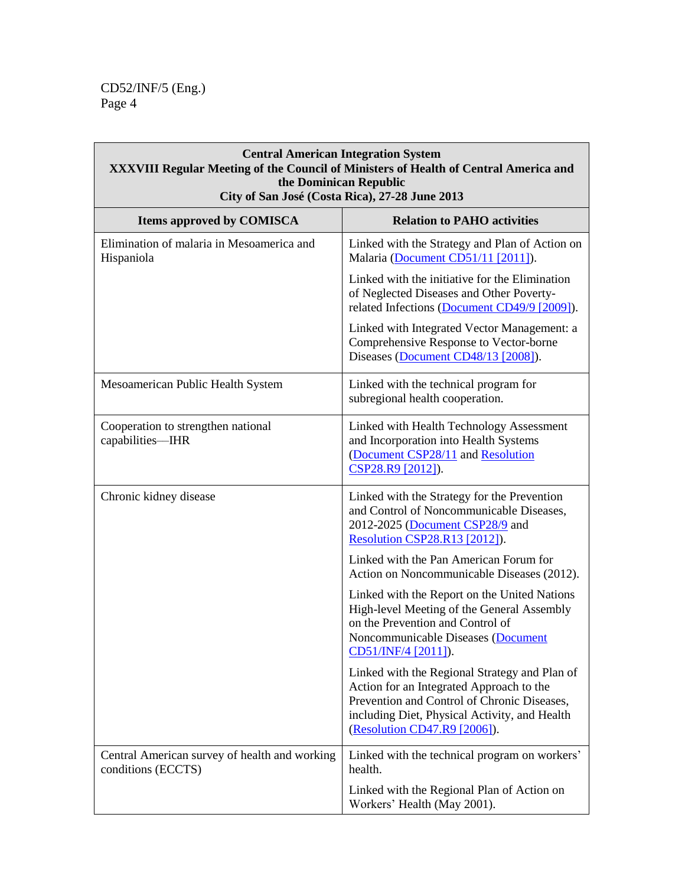$\overline{\Gamma}$ 

| <b>Central American Integration System</b><br><b>XXXVIII Regular Meeting of the Council of Ministers of Health of Central America and</b><br>the Dominican Republic<br>City of San José (Costa Rica), 27-28 June 2013 |                                                                                                                                                                                                                                                                                                                                                                    |
|-----------------------------------------------------------------------------------------------------------------------------------------------------------------------------------------------------------------------|--------------------------------------------------------------------------------------------------------------------------------------------------------------------------------------------------------------------------------------------------------------------------------------------------------------------------------------------------------------------|
| <b>Items approved by COMISCA</b>                                                                                                                                                                                      | <b>Relation to PAHO activities</b>                                                                                                                                                                                                                                                                                                                                 |
| Elimination of malaria in Mesoamerica and<br>Hispaniola                                                                                                                                                               | Linked with the Strategy and Plan of Action on<br>Malaria (Document CD51/11 [2011]).<br>Linked with the initiative for the Elimination<br>of Neglected Diseases and Other Poverty-<br>related Infections (Document CD49/9 [2009]).<br>Linked with Integrated Vector Management: a<br>Comprehensive Response to Vector-borne<br>Diseases (Document CD48/13 [2008]). |
| Mesoamerican Public Health System                                                                                                                                                                                     | Linked with the technical program for<br>subregional health cooperation.                                                                                                                                                                                                                                                                                           |
| Cooperation to strengthen national<br>capabilities-IHR                                                                                                                                                                | Linked with Health Technology Assessment<br>and Incorporation into Health Systems<br>(Document CSP28/11 and Resolution<br>CSP28.R9 [2012]).                                                                                                                                                                                                                        |
| Chronic kidney disease                                                                                                                                                                                                | Linked with the Strategy for the Prevention<br>and Control of Noncommunicable Diseases,<br>2012-2025 (Document CSP28/9 and<br><b>Resolution CSP28.R13 [2012]).</b>                                                                                                                                                                                                 |
|                                                                                                                                                                                                                       | Linked with the Pan American Forum for<br>Action on Noncommunicable Diseases (2012).<br>Linked with the Report on the United Nations<br>High-level Meeting of the General Assembly<br>on the Prevention and Control of<br>Noncommunicable Diseases (Document                                                                                                       |
|                                                                                                                                                                                                                       | <u>CD51/INF/4 [2011]</u> ).<br>Linked with the Regional Strategy and Plan of<br>Action for an Integrated Approach to the<br>Prevention and Control of Chronic Diseases,<br>including Diet, Physical Activity, and Health<br>(Resolution CD47.R9 [2006]).                                                                                                           |
| Central American survey of health and working<br>conditions (ECCTS)                                                                                                                                                   | Linked with the technical program on workers'<br>health.                                                                                                                                                                                                                                                                                                           |
|                                                                                                                                                                                                                       | Linked with the Regional Plan of Action on<br>Workers' Health (May 2001).                                                                                                                                                                                                                                                                                          |

٦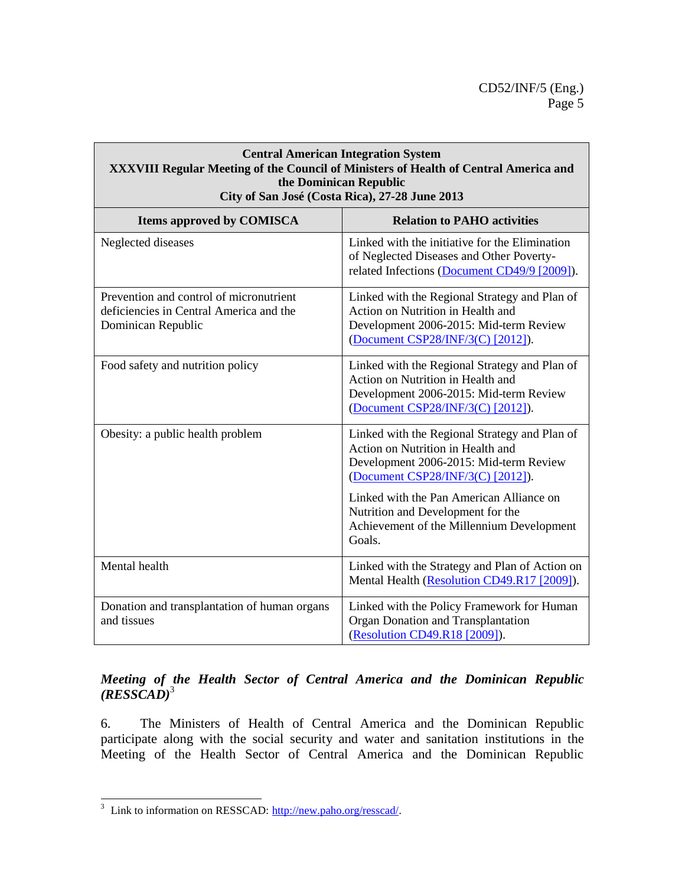#### **Central American Integration System XXXVIII Regular Meeting of the Council of Ministers of Health of Central America and the Dominican Republic City of San José (Costa Rica), 27-28 June 2013**

| <b>Items approved by COMISCA</b>                                                                         | <b>Relation to PAHO activities</b>                                                                                                                                |
|----------------------------------------------------------------------------------------------------------|-------------------------------------------------------------------------------------------------------------------------------------------------------------------|
| Neglected diseases                                                                                       | Linked with the initiative for the Elimination<br>of Neglected Diseases and Other Poverty-<br>related Infections (Document CD49/9 [2009]).                        |
| Prevention and control of micronutrient<br>deficiencies in Central America and the<br>Dominican Republic | Linked with the Regional Strategy and Plan of<br>Action on Nutrition in Health and<br>Development 2006-2015: Mid-term Review<br>(Document CSP28/INF/3(C) [2012]). |
| Food safety and nutrition policy                                                                         | Linked with the Regional Strategy and Plan of<br>Action on Nutrition in Health and<br>Development 2006-2015: Mid-term Review<br>(Document CSP28/INF/3(C) [2012]). |
| Obesity: a public health problem                                                                         | Linked with the Regional Strategy and Plan of<br>Action on Nutrition in Health and<br>Development 2006-2015: Mid-term Review<br>(Document CSP28/INF/3(C) [2012]). |
|                                                                                                          | Linked with the Pan American Alliance on<br>Nutrition and Development for the<br>Achievement of the Millennium Development<br>Goals.                              |
| Mental health                                                                                            | Linked with the Strategy and Plan of Action on<br>Mental Health (Resolution CD49.R17 [2009]).                                                                     |
| Donation and transplantation of human organs<br>and tissues                                              | Linked with the Policy Framework for Human<br>Organ Donation and Transplantation<br>(Resolution CD49.R18 [2009]).                                                 |

### *Meeting of the Health Sector of Central America and the Dominican Republic (RESSCAD)*<sup>3</sup>

6. The Ministers of Health of Central America and the Dominican Republic participate along with the social security and water and sanitation institutions in the Meeting of the Health Sector of Central America and the Dominican Republic

 $\overline{\phantom{a}}$ <sup>3</sup> Link to information on RESSCAD: [http://new.paho.org/resscad/.](http://new.paho.org/resscad/)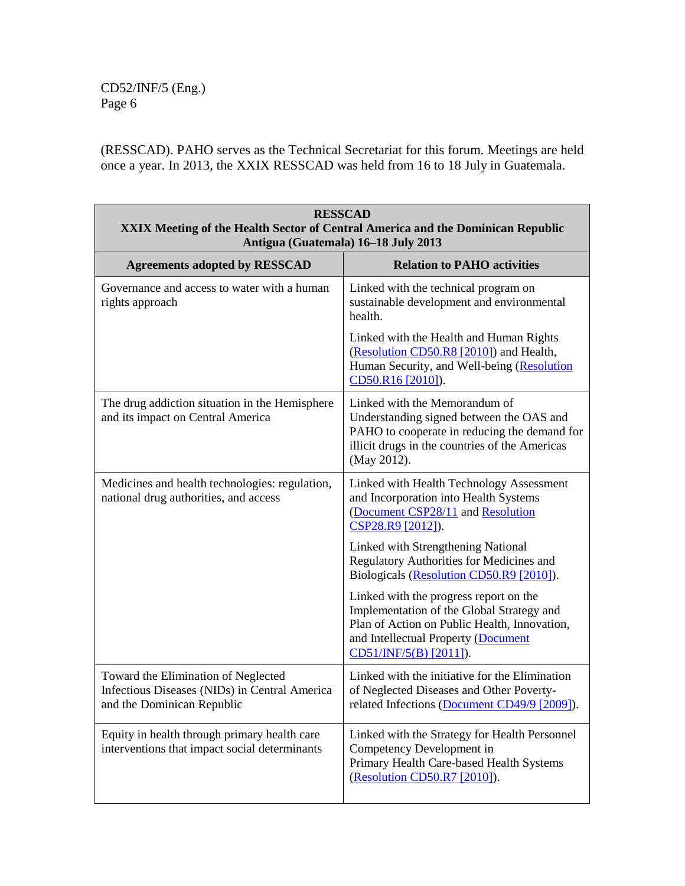(RESSCAD). PAHO serves as the Technical Secretariat for this forum. Meetings are held once a year. In 2013, the XXIX RESSCAD was held from 16 to 18 July in Guatemala.

| <b>RESSCAD</b><br><b>XXIX Meeting of the Health Sector of Central America and the Dominican Republic</b><br>Antigua (Guatemala) 16-18 July 2013 |                                                                                                                                                                                                      |
|-------------------------------------------------------------------------------------------------------------------------------------------------|------------------------------------------------------------------------------------------------------------------------------------------------------------------------------------------------------|
| <b>Agreements adopted by RESSCAD</b>                                                                                                            | <b>Relation to PAHO activities</b>                                                                                                                                                                   |
| Governance and access to water with a human<br>rights approach                                                                                  | Linked with the technical program on<br>sustainable development and environmental<br>health.                                                                                                         |
|                                                                                                                                                 | Linked with the Health and Human Rights<br>(Resolution CD50.R8 [2010]) and Health,<br>Human Security, and Well-being (Resolution<br>CD50.R16 [2010]).                                                |
| The drug addiction situation in the Hemisphere<br>and its impact on Central America                                                             | Linked with the Memorandum of<br>Understanding signed between the OAS and<br>PAHO to cooperate in reducing the demand for<br>illicit drugs in the countries of the Americas<br>(May 2012).           |
| Medicines and health technologies: regulation,<br>national drug authorities, and access                                                         | Linked with Health Technology Assessment<br>and Incorporation into Health Systems<br>(Document CSP28/11 and Resolution<br>CSP28.R9 [2012]).                                                          |
|                                                                                                                                                 | Linked with Strengthening National<br>Regulatory Authorities for Medicines and<br>Biologicals (Resolution CD50.R9 [2010]).                                                                           |
|                                                                                                                                                 | Linked with the progress report on the<br>Implementation of the Global Strategy and<br>Plan of Action on Public Health, Innovation,<br>and Intellectual Property (Document<br>CD51/INF/5(B) [2011]). |
| Toward the Elimination of Neglected<br>Infectious Diseases (NIDs) in Central America<br>and the Dominican Republic                              | Linked with the initiative for the Elimination<br>of Neglected Diseases and Other Poverty-<br>related Infections (Document CD49/9 [2009]).                                                           |
| Equity in health through primary health care<br>interventions that impact social determinants                                                   | Linked with the Strategy for Health Personnel<br>Competency Development in<br>Primary Health Care-based Health Systems<br>(Resolution CD50.R7 [2010]).                                               |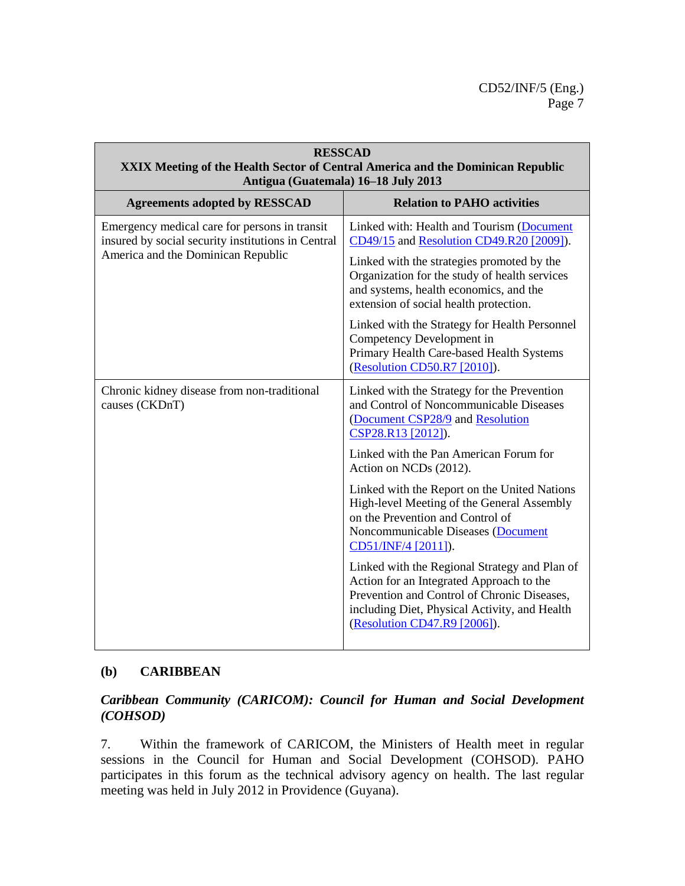| <b>RESSCAD</b><br><b>XXIX Meeting of the Health Sector of Central America and the Dominican Republic</b><br>Antigua (Guatemala) 16-18 July 2013 |                                                                                                                                                                                                                                                                          |
|-------------------------------------------------------------------------------------------------------------------------------------------------|--------------------------------------------------------------------------------------------------------------------------------------------------------------------------------------------------------------------------------------------------------------------------|
| <b>Agreements adopted by RESSCAD</b>                                                                                                            | <b>Relation to PAHO activities</b>                                                                                                                                                                                                                                       |
| Emergency medical care for persons in transit<br>insured by social security institutions in Central<br>America and the Dominican Republic       | Linked with: Health and Tourism (Document<br>CD49/15 and Resolution CD49.R20 [2009]).<br>Linked with the strategies promoted by the<br>Organization for the study of health services<br>and systems, health economics, and the<br>extension of social health protection. |
|                                                                                                                                                 | Linked with the Strategy for Health Personnel<br>Competency Development in<br>Primary Health Care-based Health Systems<br>(Resolution CD50.R7 [2010]).                                                                                                                   |
| Chronic kidney disease from non-traditional<br>causes (CKDnT)                                                                                   | Linked with the Strategy for the Prevention<br>and Control of Noncommunicable Diseases<br>(Document CSP28/9 and Resolution<br>CSP28.R13 [2012]).                                                                                                                         |
|                                                                                                                                                 | Linked with the Pan American Forum for<br>Action on NCDs (2012).                                                                                                                                                                                                         |
|                                                                                                                                                 | Linked with the Report on the United Nations<br>High-level Meeting of the General Assembly<br>on the Prevention and Control of<br>Noncommunicable Diseases (Document<br>CD51/INF/4 [2011]).                                                                              |
|                                                                                                                                                 | Linked with the Regional Strategy and Plan of<br>Action for an Integrated Approach to the<br>Prevention and Control of Chronic Diseases,<br>including Diet, Physical Activity, and Health<br>(Resolution CD47.R9 [2006]).                                                |

# **(b) CARIBBEAN**

### *Caribbean Community (CARICOM): Council for Human and Social Development (COHSOD)*

7. Within the framework of CARICOM, the Ministers of Health meet in regular sessions in the Council for Human and Social Development (COHSOD). PAHO participates in this forum as the technical advisory agency on health. The last regular meeting was held in July 2012 in Providence (Guyana).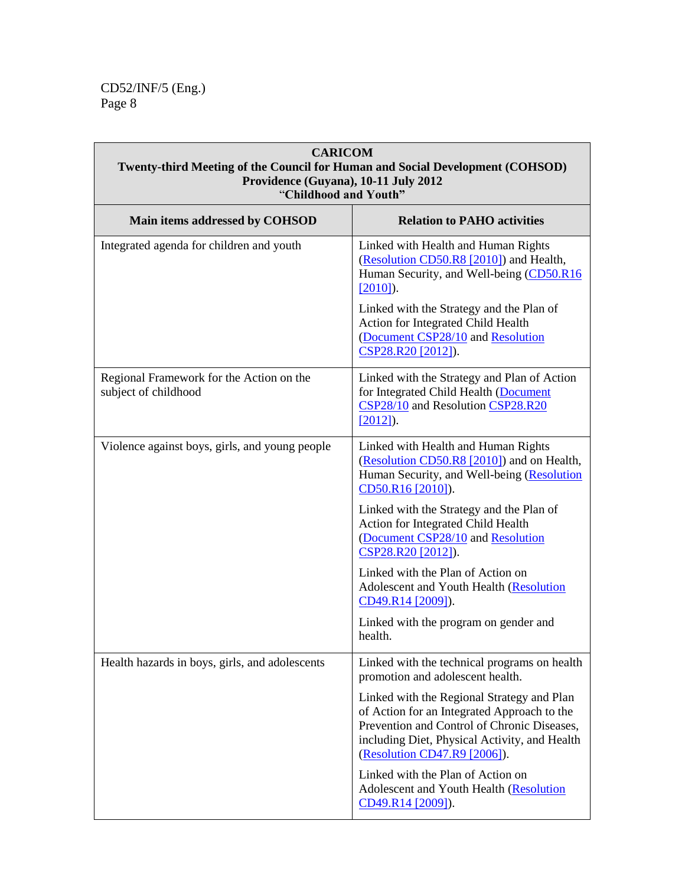$\mathbb{F}$ 

| <b>CARICOM</b><br>Twenty-third Meeting of the Council for Human and Social Development (COHSOD)<br>Providence (Guyana), 10-11 July 2012<br>"Childhood and Youth" |                                                                                                                                                                                                                           |
|------------------------------------------------------------------------------------------------------------------------------------------------------------------|---------------------------------------------------------------------------------------------------------------------------------------------------------------------------------------------------------------------------|
| Main items addressed by COHSOD                                                                                                                                   | <b>Relation to PAHO activities</b>                                                                                                                                                                                        |
| Integrated agenda for children and youth                                                                                                                         | Linked with Health and Human Rights<br>(Resolution CD50.R8 [2010]) and Health,<br>Human Security, and Well-being (CD50.R16)<br>$[2010]$ ).                                                                                |
|                                                                                                                                                                  | Linked with the Strategy and the Plan of<br>Action for Integrated Child Health<br>(Document CSP28/10 and Resolution<br>CSP28.R20 [2012]).                                                                                 |
| Regional Framework for the Action on the<br>subject of childhood                                                                                                 | Linked with the Strategy and Plan of Action<br>for Integrated Child Health (Document<br>CSP28/10 and Resolution CSP28.R20<br>$[2012]$ .                                                                                   |
| Violence against boys, girls, and young people                                                                                                                   | Linked with Health and Human Rights<br>(Resolution CD50.R8 [2010]) and on Health,<br>Human Security, and Well-being (Resolution<br>CD50.R16 [2010]).                                                                      |
|                                                                                                                                                                  | Linked with the Strategy and the Plan of<br>Action for Integrated Child Health<br>(Document CSP28/10 and Resolution<br>CSP28.R20 [2012]).                                                                                 |
|                                                                                                                                                                  | Linked with the Plan of Action on<br>Adolescent and Youth Health (Resolution<br>CD49.R14 [2009]).                                                                                                                         |
|                                                                                                                                                                  | Linked with the program on gender and<br>health.                                                                                                                                                                          |
| Health hazards in boys, girls, and adolescents                                                                                                                   | Linked with the technical programs on health<br>promotion and adolescent health.                                                                                                                                          |
|                                                                                                                                                                  | Linked with the Regional Strategy and Plan<br>of Action for an Integrated Approach to the<br>Prevention and Control of Chronic Diseases,<br>including Diet, Physical Activity, and Health<br>(Resolution CD47.R9 [2006]). |
|                                                                                                                                                                  | Linked with the Plan of Action on<br>Adolescent and Youth Health (Resolution<br>CD49.R14 [2009]).                                                                                                                         |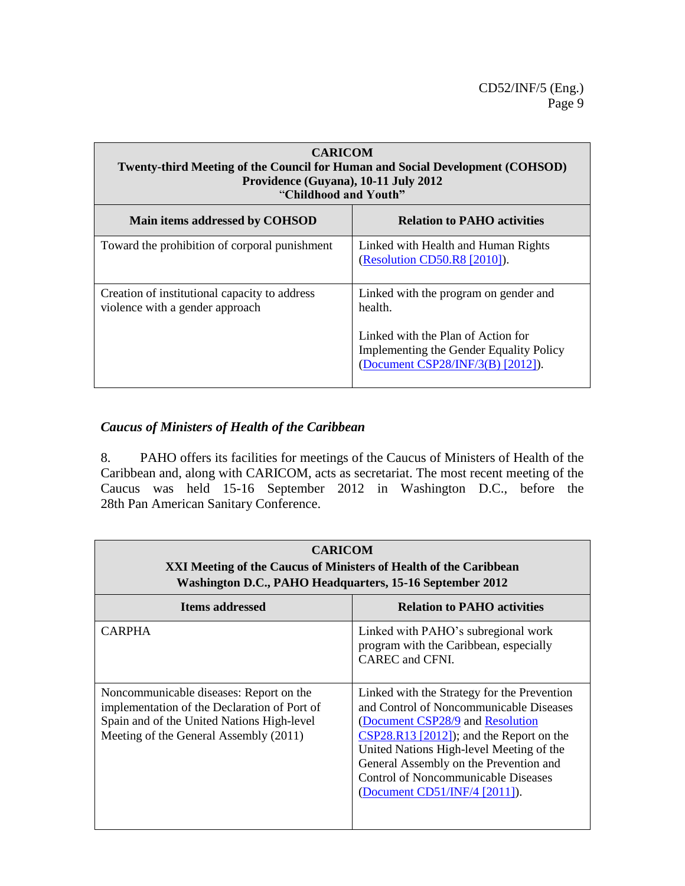| <b>CARICOM</b><br><b>Twenty-third Meeting of the Council for Human and Social Development (COHSOD)</b><br>Providence (Guyana), 10-11 July 2012<br>"Childhood and Youth" |                                                                                                                           |
|-------------------------------------------------------------------------------------------------------------------------------------------------------------------------|---------------------------------------------------------------------------------------------------------------------------|
| Main items addressed by COHSOD                                                                                                                                          | <b>Relation to PAHO activities</b>                                                                                        |
| Toward the prohibition of corporal punishment                                                                                                                           | Linked with Health and Human Rights<br>(Resolution CD50.R8 [2010]).                                                       |
| Creation of institutional capacity to address<br>violence with a gender approach                                                                                        | Linked with the program on gender and<br>health.                                                                          |
|                                                                                                                                                                         | Linked with the Plan of Action for<br><b>Implementing the Gender Equality Policy</b><br>(Document CSP28/INF/3(B) [2012]). |

# *Caucus of Ministers of Health of the Caribbean*

8. PAHO offers its facilities for meetings of the Caucus of Ministers of Health of the Caribbean and, along with CARICOM, acts as secretariat. The most recent meeting of the Caucus was held 15-16 September 2012 in Washington D.C., before the 28th Pan American Sanitary Conference.

| <b>CARICOM</b><br>XXI Meeting of the Caucus of Ministers of Health of the Caribbean<br>Washington D.C., PAHO Headquarters, 15-16 September 2012                                 |                                                                                                                                                                                                                                                                                                                                               |
|---------------------------------------------------------------------------------------------------------------------------------------------------------------------------------|-----------------------------------------------------------------------------------------------------------------------------------------------------------------------------------------------------------------------------------------------------------------------------------------------------------------------------------------------|
| <b>Items addressed</b>                                                                                                                                                          | <b>Relation to PAHO activities</b>                                                                                                                                                                                                                                                                                                            |
| <b>CARPHA</b>                                                                                                                                                                   | Linked with PAHO's subregional work<br>program with the Caribbean, especially<br>CAREC and CFNI.                                                                                                                                                                                                                                              |
| Noncommunicable diseases: Report on the<br>implementation of the Declaration of Port of<br>Spain and of the United Nations High-level<br>Meeting of the General Assembly (2011) | Linked with the Strategy for the Prevention<br>and Control of Noncommunicable Diseases<br>(Document CSP28/9 and Resolution<br>$CSP28.R13 [2012]$ ; and the Report on the<br>United Nations High-level Meeting of the<br>General Assembly on the Prevention and<br><b>Control of Noncommunicable Diseases</b><br>(Document CD51/INF/4 [2011]). |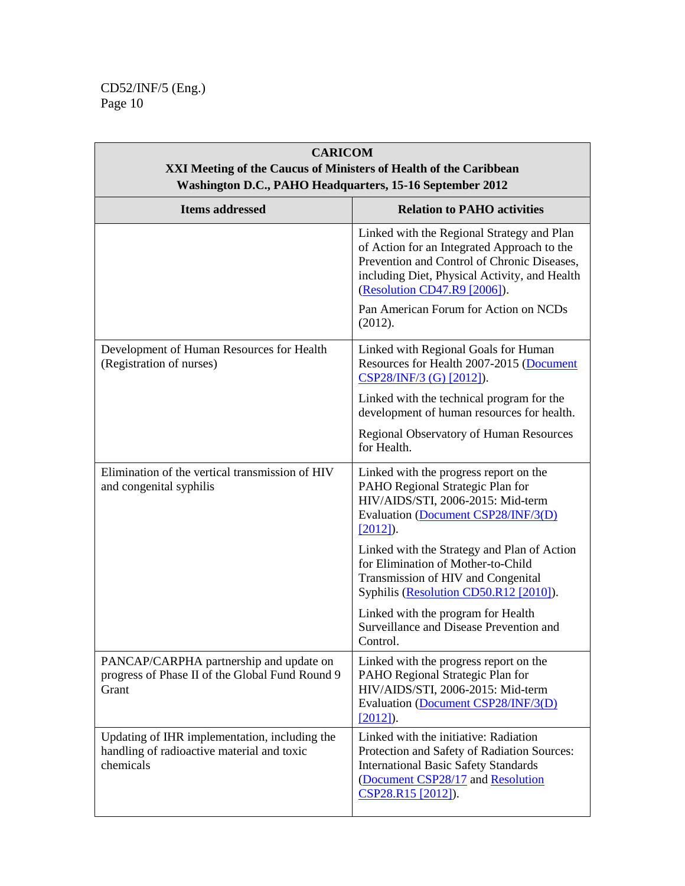| <b>CARICOM</b><br>XXI Meeting of the Caucus of Ministers of Health of the Caribbean<br>Washington D.C., PAHO Headquarters, 15-16 September 2012 |                                                                                                                                                                                                                                                                    |
|-------------------------------------------------------------------------------------------------------------------------------------------------|--------------------------------------------------------------------------------------------------------------------------------------------------------------------------------------------------------------------------------------------------------------------|
| <b>Items addressed</b>                                                                                                                          | <b>Relation to PAHO activities</b>                                                                                                                                                                                                                                 |
|                                                                                                                                                 | Linked with the Regional Strategy and Plan<br>of Action for an Integrated Approach to the<br>Prevention and Control of Chronic Diseases,<br>including Diet, Physical Activity, and Health<br>(Resolution CD47.R9 [2006]).<br>Pan American Forum for Action on NCDs |
|                                                                                                                                                 | (2012).                                                                                                                                                                                                                                                            |
| Development of Human Resources for Health<br>(Registration of nurses)                                                                           | Linked with Regional Goals for Human<br>Resources for Health 2007-2015 (Document<br>CSP28/INF/3 (G) [2012]).                                                                                                                                                       |
|                                                                                                                                                 | Linked with the technical program for the<br>development of human resources for health.                                                                                                                                                                            |
|                                                                                                                                                 | Regional Observatory of Human Resources<br>for Health.                                                                                                                                                                                                             |
| Elimination of the vertical transmission of HIV<br>and congenital syphilis                                                                      | Linked with the progress report on the<br>PAHO Regional Strategic Plan for<br>HIV/AIDS/STI, 2006-2015: Mid-term<br>Evaluation (Document CSP28/INF/3(D)<br>$[2012]$ .                                                                                               |
|                                                                                                                                                 | Linked with the Strategy and Plan of Action<br>for Elimination of Mother-to-Child<br>Transmission of HIV and Congenital<br>Syphilis (Resolution CD50.R12 [2010]).                                                                                                  |
|                                                                                                                                                 | Linked with the program for Health<br>Surveillance and Disease Prevention and<br>Control.                                                                                                                                                                          |
| PANCAP/CARPHA partnership and update on<br>progress of Phase II of the Global Fund Round 9<br>Grant                                             | Linked with the progress report on the<br>PAHO Regional Strategic Plan for<br>HIV/AIDS/STI, 2006-2015: Mid-term<br>Evaluation (Document CSP28/INF/3(D)<br>$[2012]$ ).                                                                                              |
| Updating of IHR implementation, including the<br>handling of radioactive material and toxic<br>chemicals                                        | Linked with the initiative: Radiation<br>Protection and Safety of Radiation Sources:<br><b>International Basic Safety Standards</b><br>(Document CSP28/17 and Resolution<br>CSP28.R15 [2012]).                                                                     |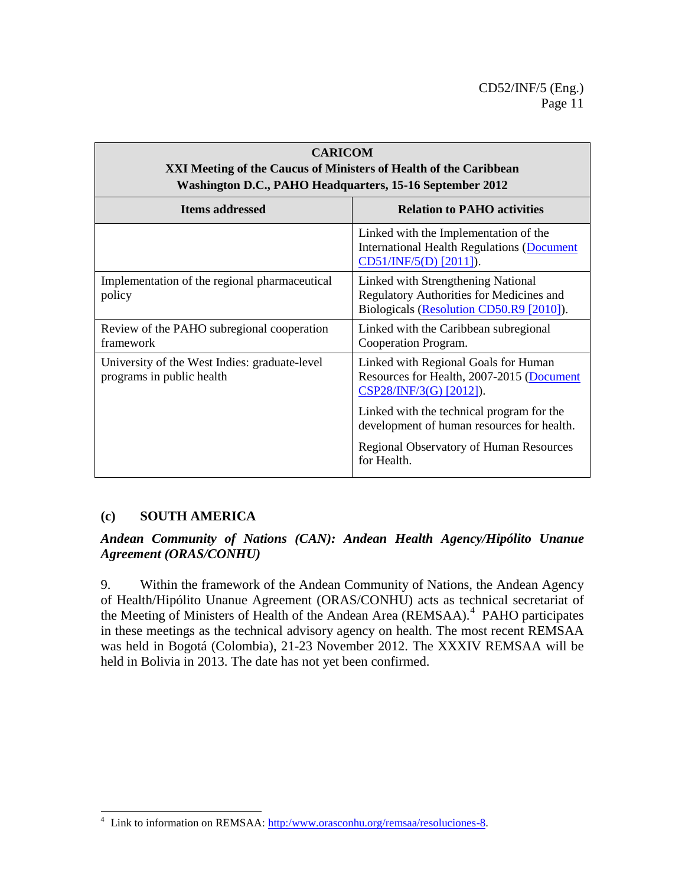| <b>CARICOM</b><br>XXI Meeting of the Caucus of Ministers of Health of the Caribbean<br>Washington D.C., PAHO Headquarters, 15-16 September 2012 |                                                                                                                            |
|-------------------------------------------------------------------------------------------------------------------------------------------------|----------------------------------------------------------------------------------------------------------------------------|
| <b>Items addressed</b>                                                                                                                          | <b>Relation to PAHO activities</b>                                                                                         |
|                                                                                                                                                 | Linked with the Implementation of the<br><b>International Health Regulations (Document</b><br>CD51/INF/5(D) [2011]).       |
| Implementation of the regional pharmaceutical<br>policy                                                                                         | Linked with Strengthening National<br>Regulatory Authorities for Medicines and<br>Biologicals (Resolution CD50.R9 [2010]). |
| Review of the PAHO subregional cooperation<br>framework                                                                                         | Linked with the Caribbean subregional<br>Cooperation Program.                                                              |
| University of the West Indies: graduate-level<br>programs in public health                                                                      | Linked with Regional Goals for Human<br>Resources for Health, 2007-2015 (Document<br>CSP28/INF/3(G) [2012]).               |
|                                                                                                                                                 | Linked with the technical program for the<br>development of human resources for health.                                    |
|                                                                                                                                                 | Regional Observatory of Human Resources<br>for Health.                                                                     |

# **(c) SOUTH AMERICA**

 $\overline{a}$ 

### *Andean Community of Nations (CAN): Andean Health Agency/Hipólito Unanue Agreement (ORAS/CONHU)*

9. Within the framework of the Andean Community of Nations, the Andean Agency of Health/Hipólito Unanue Agreement (ORAS/CONHU) acts as technical secretariat of the Meeting of Ministers of Health of the Andean Area (REMSAA).<sup>4</sup> PAHO participates in these meetings as the technical advisory agency on health. The most recent REMSAA was held in Bogotá (Colombia), 21-23 November 2012. The XXXIV REMSAA will be held in Bolivia in 2013. The date has not yet been confirmed.

<sup>&</sup>lt;sup>4</sup> Link to information on REMSAA: [http:/www.orasconhu.org/remsaa/resoluciones-8.](http://www.orasconhu.org/remsaa/resoluciones-8)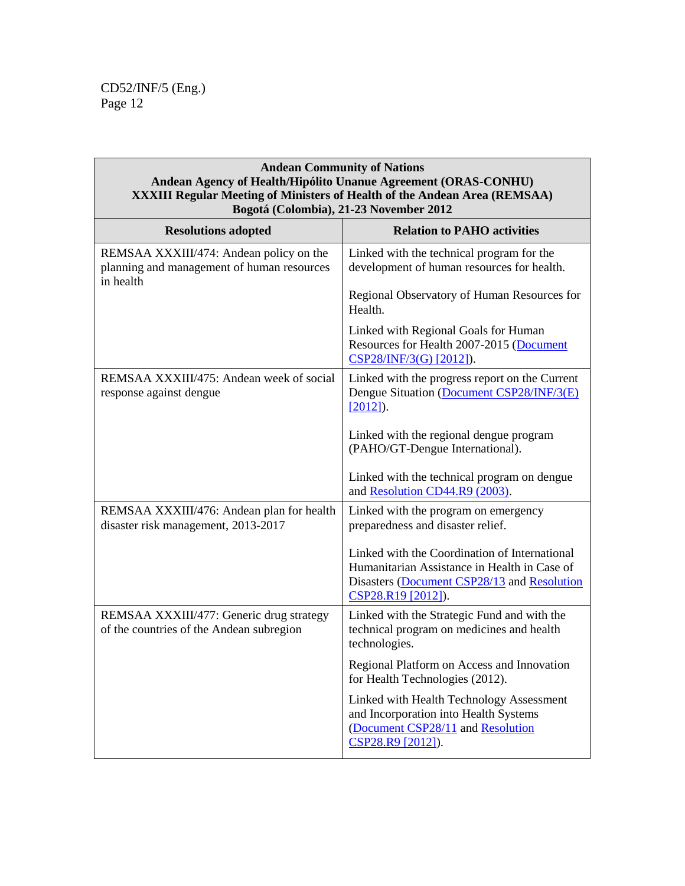### **Andean Community of Nations Andean Agency of Health/Hipólito Unanue Agreement (ORAS-CONHU) XXXIII Regular Meeting of Ministers of Health of the Andean Area (REMSAA) Bogotá (Colombia), 21-23 November 2012**

| <b>Resolutions adopted</b>                                                                         | <b>Relation to PAHO activities</b>                                                                                                                                 |
|----------------------------------------------------------------------------------------------------|--------------------------------------------------------------------------------------------------------------------------------------------------------------------|
| REMSAA XXXIII/474: Andean policy on the<br>planning and management of human resources<br>in health | Linked with the technical program for the<br>development of human resources for health.                                                                            |
|                                                                                                    | Regional Observatory of Human Resources for<br>Health.                                                                                                             |
|                                                                                                    | Linked with Regional Goals for Human<br>Resources for Health 2007-2015 (Document<br>CSP28/INF/3(G) [2012]).                                                        |
| REMSAA XXXIII/475: Andean week of social<br>response against dengue                                | Linked with the progress report on the Current<br>Dengue Situation (Document CSP28/INF/3(E)<br>$[2012]$ ).                                                         |
|                                                                                                    | Linked with the regional dengue program<br>(PAHO/GT-Dengue International).                                                                                         |
|                                                                                                    | Linked with the technical program on dengue<br>and Resolution CD44.R9 (2003).                                                                                      |
| REMSAA XXXIII/476: Andean plan for health<br>disaster risk management, 2013-2017                   | Linked with the program on emergency<br>preparedness and disaster relief.                                                                                          |
|                                                                                                    | Linked with the Coordination of International<br>Humanitarian Assistance in Health in Case of<br>Disasters (Document CSP28/13 and Resolution<br>CSP28.R19 [2012]). |
| REMSAA XXXIII/477: Generic drug strategy<br>of the countries of the Andean subregion               | Linked with the Strategic Fund and with the<br>technical program on medicines and health<br>technologies.                                                          |
|                                                                                                    | Regional Platform on Access and Innovation<br>for Health Technologies (2012).                                                                                      |
|                                                                                                    | Linked with Health Technology Assessment<br>and Incorporation into Health Systems<br>(Document CSP28/11 and Resolution<br>CSP28.R9 [2012]).                        |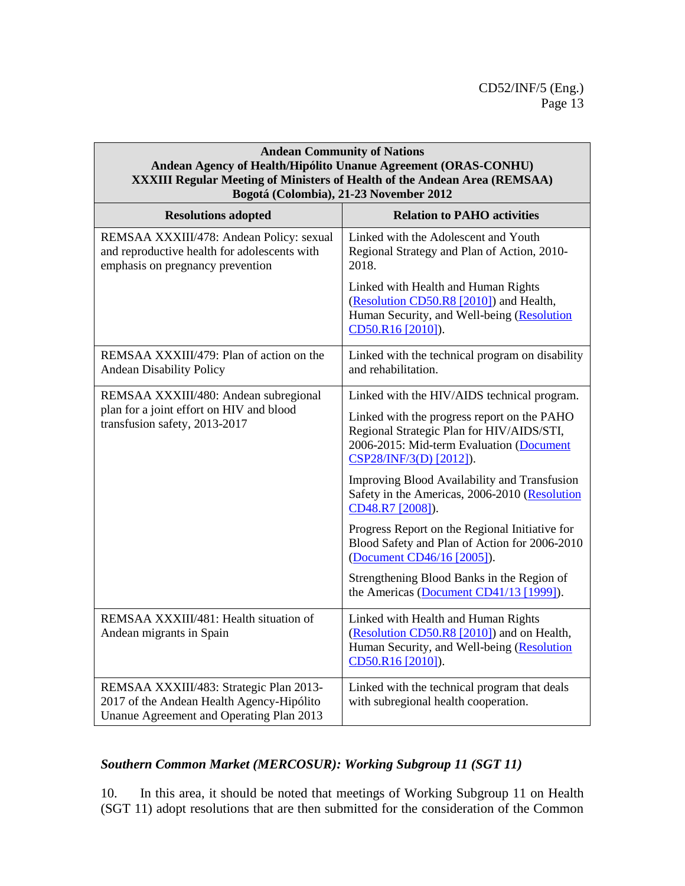#### **Andean Community of Nations Andean Agency of Health/Hipólito Unanue Agreement (ORAS-CONHU) XXXIII Regular Meeting of Ministers of Health of the Andean Area (REMSAA) Bogotá (Colombia), 21-23 November 2012**

| <b>Resolutions adopted</b>                                                                                                       | <b>Relation to PAHO activities</b>                                                                                                                              |
|----------------------------------------------------------------------------------------------------------------------------------|-----------------------------------------------------------------------------------------------------------------------------------------------------------------|
| REMSAA XXXIII/478: Andean Policy: sexual<br>and reproductive health for adolescents with<br>emphasis on pregnancy prevention     | Linked with the Adolescent and Youth<br>Regional Strategy and Plan of Action, 2010-<br>2018.                                                                    |
|                                                                                                                                  | Linked with Health and Human Rights<br>(Resolution CD50.R8 [2010]) and Health,<br>Human Security, and Well-being (Resolution<br>CD50.R16 [2010]).               |
| REMSAA XXXIII/479: Plan of action on the<br><b>Andean Disability Policy</b>                                                      | Linked with the technical program on disability<br>and rehabilitation.                                                                                          |
| REMSAA XXXIII/480: Andean subregional                                                                                            | Linked with the HIV/AIDS technical program.                                                                                                                     |
| plan for a joint effort on HIV and blood<br>transfusion safety, 2013-2017                                                        | Linked with the progress report on the PAHO<br>Regional Strategic Plan for HIV/AIDS/STI,<br>2006-2015: Mid-term Evaluation (Document<br>CSP28/INF/3(D) [2012]). |
|                                                                                                                                  | <b>Improving Blood Availability and Transfusion</b><br>Safety in the Americas, 2006-2010 (Resolution<br>CD48.R7 [2008]).                                        |
|                                                                                                                                  | Progress Report on the Regional Initiative for<br>Blood Safety and Plan of Action for 2006-2010<br>(Document CD46/16 [2005]).                                   |
|                                                                                                                                  | Strengthening Blood Banks in the Region of<br>the Americas (Document CD41/13 [1999]).                                                                           |
| REMSAA XXXIII/481: Health situation of<br>Andean migrants in Spain                                                               | Linked with Health and Human Rights<br>(Resolution CD50.R8 [2010]) and on Health,<br>Human Security, and Well-being (Resolution<br>CD50.R16 [2010]).            |
| REMSAA XXXIII/483: Strategic Plan 2013-<br>2017 of the Andean Health Agency-Hipólito<br>Unanue Agreement and Operating Plan 2013 | Linked with the technical program that deals<br>with subregional health cooperation.                                                                            |

# *Southern Common Market (MERCOSUR): Working Subgroup 11 (SGT 11)*

10. In this area, it should be noted that meetings of Working Subgroup 11 on Health (SGT 11) adopt resolutions that are then submitted for the consideration of the Common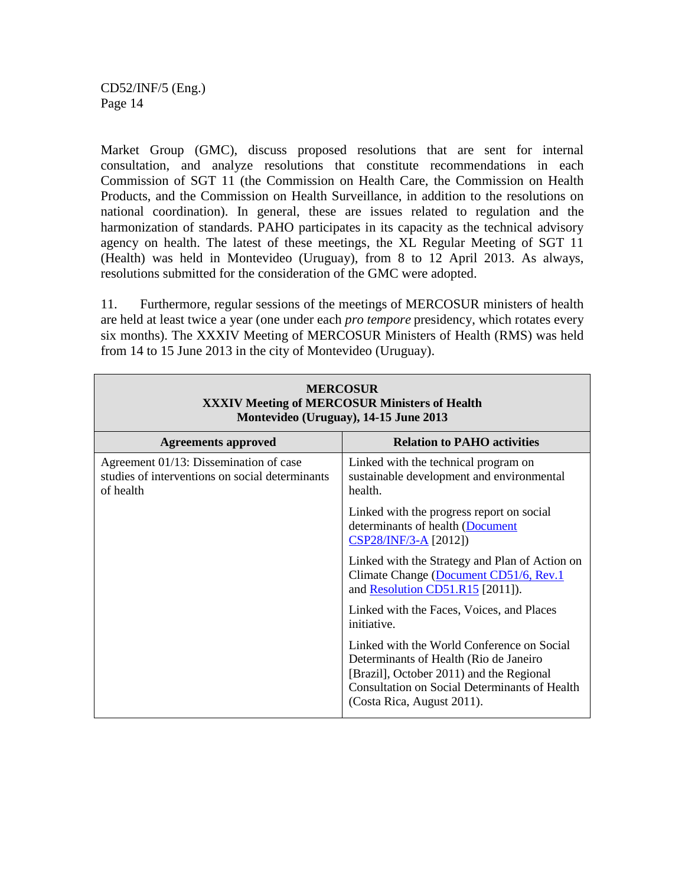Market Group (GMC), discuss proposed resolutions that are sent for internal consultation, and analyze resolutions that constitute recommendations in each Commission of SGT 11 (the Commission on Health Care, the Commission on Health Products, and the Commission on Health Surveillance, in addition to the resolutions on national coordination). In general, these are issues related to regulation and the harmonization of standards. PAHO participates in its capacity as the technical advisory agency on health. The latest of these meetings, the XL Regular Meeting of SGT 11 (Health) was held in Montevideo (Uruguay), from 8 to 12 April 2013. As always, resolutions submitted for the consideration of the GMC were adopted.

11. Furthermore, regular sessions of the meetings of MERCOSUR ministers of health are held at least twice a year (one under each *pro tempore* presidency, which rotates every six months). The XXXIV Meeting of MERCOSUR Ministers of Health (RMS) was held from 14 to 15 June 2013 in the city of Montevideo (Uruguay).

| <b>MERCOSUR</b><br><b>XXXIV Meeting of MERCOSUR Ministers of Health</b><br>Montevideo (Uruguay), 14-15 June 2013 |                                                                                                                                                                                                                         |  |
|------------------------------------------------------------------------------------------------------------------|-------------------------------------------------------------------------------------------------------------------------------------------------------------------------------------------------------------------------|--|
| <b>Agreements approved</b>                                                                                       | <b>Relation to PAHO activities</b>                                                                                                                                                                                      |  |
| Agreement 01/13: Dissemination of case<br>studies of interventions on social determinants<br>of health           | Linked with the technical program on<br>sustainable development and environmental<br>health.                                                                                                                            |  |
|                                                                                                                  | Linked with the progress report on social<br>determinants of health (Document<br>$CSP28/INF/3-A$ [2012])                                                                                                                |  |
|                                                                                                                  | Linked with the Strategy and Plan of Action on<br>Climate Change (Document CD51/6, Rev.1)<br>and Resolution CD51.R15 [2011]).                                                                                           |  |
|                                                                                                                  | Linked with the Faces, Voices, and Places<br>initiative.                                                                                                                                                                |  |
|                                                                                                                  | Linked with the World Conference on Social<br>Determinants of Health (Rio de Janeiro)<br>[Brazil], October 2011) and the Regional<br><b>Consultation on Social Determinants of Health</b><br>(Costa Rica, August 2011). |  |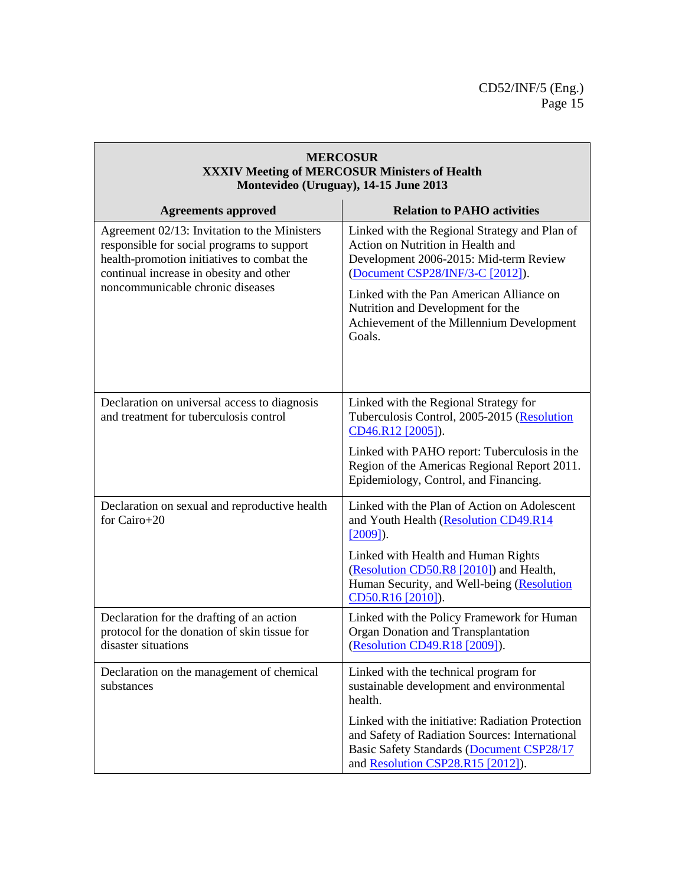| <b>MERCOSUR</b><br><b>XXXIV Meeting of MERCOSUR Ministers of Health</b><br>Montevideo (Uruguay), 14-15 June 2013                                                                                                        |                                                                                                                                                                                                                                                                                                          |
|-------------------------------------------------------------------------------------------------------------------------------------------------------------------------------------------------------------------------|----------------------------------------------------------------------------------------------------------------------------------------------------------------------------------------------------------------------------------------------------------------------------------------------------------|
| <b>Agreements approved</b>                                                                                                                                                                                              | <b>Relation to PAHO activities</b>                                                                                                                                                                                                                                                                       |
| Agreement 02/13: Invitation to the Ministers<br>responsible for social programs to support<br>health-promotion initiatives to combat the<br>continual increase in obesity and other<br>noncommunicable chronic diseases | Linked with the Regional Strategy and Plan of<br>Action on Nutrition in Health and<br>Development 2006-2015: Mid-term Review<br>(Document CSP28/INF/3-C [2012]).<br>Linked with the Pan American Alliance on<br>Nutrition and Development for the<br>Achievement of the Millennium Development<br>Goals. |
| Declaration on universal access to diagnosis<br>and treatment for tuberculosis control                                                                                                                                  | Linked with the Regional Strategy for<br>Tuberculosis Control, 2005-2015 (Resolution<br>CD46.R12 [2005]).<br>Linked with PAHO report: Tuberculosis in the<br>Region of the Americas Regional Report 2011.<br>Epidemiology, Control, and Financing.                                                       |
| Declaration on sexual and reproductive health<br>for Cairo+20                                                                                                                                                           | Linked with the Plan of Action on Adolescent<br>and Youth Health (Resolution CD49.R14<br>$[2009]$ ).<br>Linked with Health and Human Rights<br>(Resolution CD50.R8 [2010]) and Health,<br>Human Security, and Well-being (Resolution<br>CD50.R16 [2010]).                                                |
| Declaration for the drafting of an action<br>protocol for the donation of skin tissue for<br>disaster situations                                                                                                        | Linked with the Policy Framework for Human<br>Organ Donation and Transplantation<br>(Resolution CD49.R18 [2009]).                                                                                                                                                                                        |
| Declaration on the management of chemical<br>substances                                                                                                                                                                 | Linked with the technical program for<br>sustainable development and environmental<br>health.<br>Linked with the initiative: Radiation Protection<br>and Safety of Radiation Sources: International<br>Basic Safety Standards (Document CSP28/17                                                         |

 $\sqrt{2}$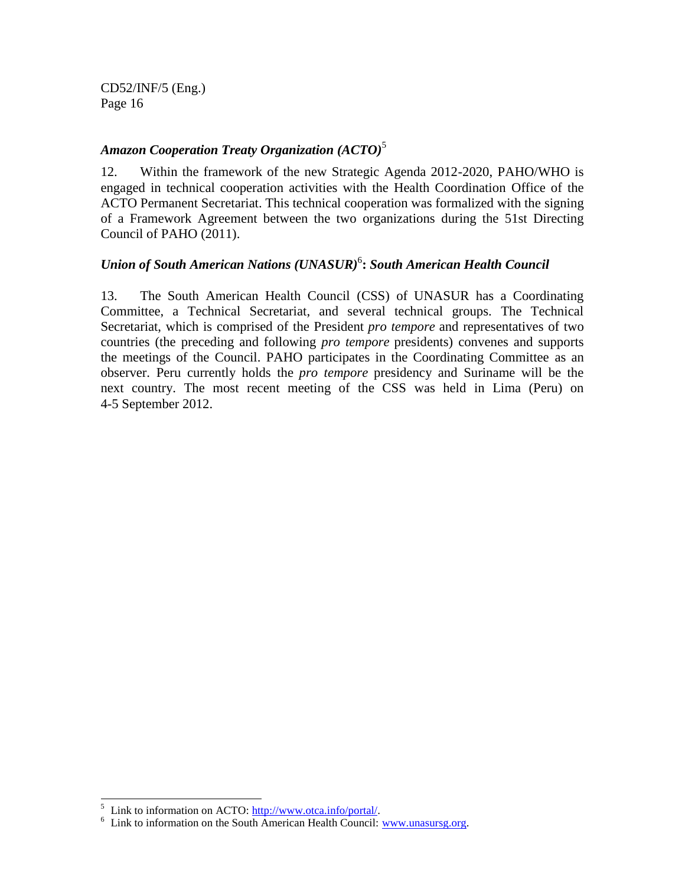### *Amazon Cooperation Treaty Organization (ACTO)*<sup>5</sup>

12. Within the framework of the new Strategic Agenda 2012-2020, PAHO/WHO is engaged in technical cooperation activities with the Health Coordination Office of the ACTO Permanent Secretariat. This technical cooperation was formalized with the signing of a Framework Agreement between the two organizations during the 51st Directing Council of PAHO (2011).

# *Union of South American Nations (UNASUR)*<sup>6</sup> **:** *South American Health Council*

13. The South American Health Council (CSS) of UNASUR has a Coordinating Committee, a Technical Secretariat, and several technical groups. The Technical Secretariat, which is comprised of the President *pro tempore* and representatives of two countries (the preceding and following *pro tempore* presidents) convenes and supports the meetings of the Council. PAHO participates in the Coordinating Committee as an observer. Peru currently holds the *pro tempore* presidency and Suriname will be the next country. The most recent meeting of the CSS was held in Lima (Peru) on 4-5 September 2012.

 $\overline{\phantom{a}}$ 

<sup>&</sup>lt;sup>5</sup> Link to information on ACTO: [http://www.otca.info/portal/.](http://www.otca.info/portal/)

<sup>&</sup>lt;sup>6</sup> Link to information on the South American Health Council: [www.unasursg.org.](http://www.unasursg.org/)